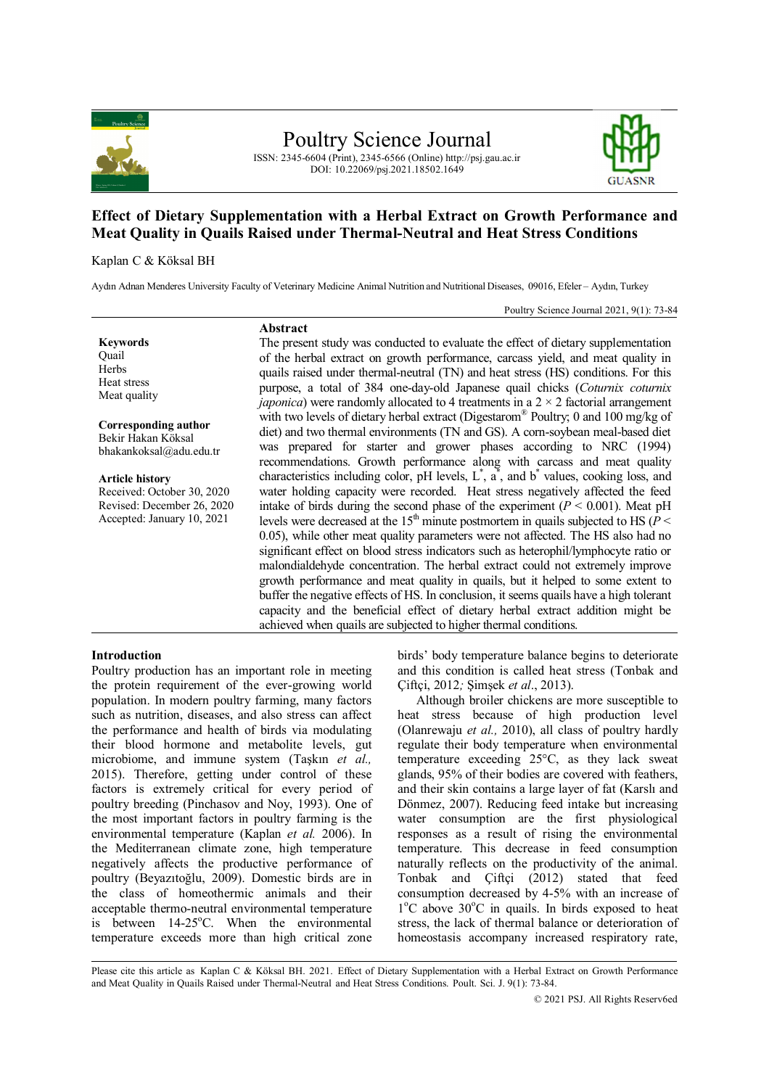

Poultry Science Journal

ISSN: 2345-6604 (Print), 2345-6566 (Online) http://psj.gau.ac.ir DOI: 10.22069/psj.2021.18502.1649



# **Effect of Dietary Supplementation with a Herbal Extract on Growth Performance and Meat Quality in Quails Raised under Thermal-Neutral and Heat Stress Conditions**

#### Kaplan C & Köksal BH

Aydın Adnan Menderes University Faculty of Veterinary Medicine Animal Nutrition and Nutritional Diseases, 09016, Efeler – Aydın, Turkey

**Abstract**

Poultry Science Journal 2021, 9(1): 73-84

**Keywords Ouail** Herbs Heat stress Meat quality

**Corresponding author** Bekir Hakan Köksal bhakankoksal@adu.edu.tr

**Article history** Received: October 30, 2020 Revised: December 26, 2020 Accepted: January 10, 2021

The present study was conducted to evaluate the effect of dietary supplementation of the herbal extract on growth performance, carcass yield, and meat quality in quails raised under thermal-neutral (TN) and heat stress (HS) conditions. For this purpose, a total of 384 one-day-old Japanese quail chicks (*Coturnix coturnix japonica*) were randomly allocated to 4 treatments in a  $2 \times 2$  factorial arrangement with two levels of dietary herbal extract (Digestarom® Poultry; 0 and 100 mg/kg of diet) and two thermal environments (TN and GS). A corn-soybean meal-based diet was prepared for starter and grower phases according to NRC (1994) recommendations. Growth performance along with carcass and meat quality characteristics including color, pH levels,  $L^*$ ,  $\vec{a}$ , and  $\vec{b}$  values, cooking loss, and water holding capacity were recorded. Heat stress negatively affected the feed intake of birds during the second phase of the experiment  $(P < 0.001)$ . Meat pH levels were decreased at the 15<sup>th</sup> minute postmortem in quails subjected to HS ( $P$  < 0.05), while other meat quality parameters were not affected. The HS also had no significant effect on blood stress indicators such as heterophil/lymphocyte ratio or malondialdehyde concentration. The herbal extract could not extremely improve growth performance and meat quality in quails, but it helped to some extent to buffer the negative effects of HS. In conclusion, it seems quails have a high tolerant capacity and the beneficial effect of dietary herbal extract addition might be achieved when quails are subjected to higher thermal conditions.

# **Introduction**

Poultry production has an important role in meeting the protein requirement of the ever-growing world population. In modern poultry farming, many factors such as nutrition, diseases, and also stress can affect the performance and health of birds via modulating their blood hormone and metabolite levels, gut microbiome, and immune system (Taşkın *et al.,*  2015). Therefore, getting under control of these factors is extremely critical for every period of poultry breeding (Pinchasov and Noy, 1993). One of the most important factors in poultry farming is the environmental temperature (Kaplan *et al.* 2006). In the Mediterranean climate zone, high temperature negatively affects the productive performance of poultry (Beyazıtoğlu, 2009). Domestic birds are in the class of homeothermic animals and their acceptable thermo-neutral environmental temperature is between  $14-25^{\circ}$ C. When the environmental temperature exceeds more than high critical zone birds' body temperature balance begins to deteriorate and this condition is called heat stress (Tonbak and Çiftçi, 2012*;* Şimşek *et al*., 2013).

Although broiler chickens are more susceptible to heat stress because of high production level (Olanrewaju *et al.,* 2010), all class of poultry hardly regulate their body temperature when environmental temperature exceeding 25°C, as they lack sweat glands, 95% of their bodies are covered with feathers, and their skin contains a large layer of fat (Karslı and Dönmez, 2007). Reducing feed intake but increasing water consumption are the first physiological responses as a result of rising the environmental temperature. This decrease in feed consumption naturally reflects on the productivity of the animal. Tonbak and Çiftçi (2012) stated that feed consumption decreased by 4-5% with an increase of 1°C above 30°C in quails. In birds exposed to heat stress, the lack of thermal balance or deterioration of homeostasis accompany increased respiratory rate,

Please cite this article as Kaplan C & Köksal BH. 2021. Effect of Dietary Supplementation with a Herbal Extract on Growth Performance and Meat Quality in Quails Raised under Thermal-Neutral and Heat Stress Conditions. Poult. Sci. J. 9(1): 73-84.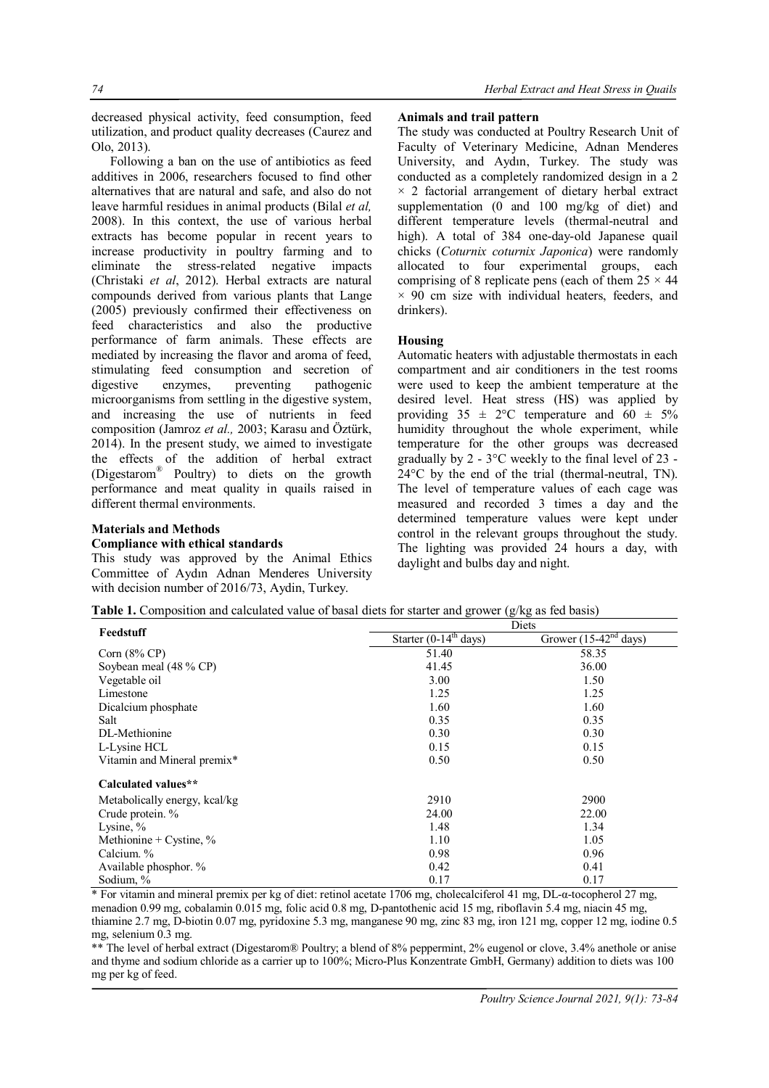decreased physical activity, feed consumption, feed utilization, and product quality decreases (Caurez and Olo, 2013).

Following a ban on the use of antibiotics as feed additives in 2006, researchers focused to find other alternatives that are natural and safe, and also do not leave harmful residues in animal products (Bilal *et al,*  2008). In this context, the use of various herbal extracts has become popular in recent years to increase productivity in poultry farming and to eliminate the stress-related negative impacts (Christaki *et al*, 2012). Herbal extracts are natural compounds derived from various plants that Lange (2005) previously confirmed their effectiveness on feed characteristics and also the productive performance of farm animals. These effects are mediated by increasing the flavor and aroma of feed, stimulating feed consumption and secretion of digestive enzymes, preventing pathogenic microorganisms from settling in the digestive system, and increasing the use of nutrients in feed composition (Jamroz *et al.,* 2003; Karasu and Öztürk, 2014). In the present study, we aimed to investigate the effects of the addition of herbal extract (Digestarom® Poultry) to diets on the growth performance and meat quality in quails raised in different thermal environments.

# **Materials and Methods**

## **Compliance with ethical standards**

This study was approved by the Animal Ethics Committee of Aydın Adnan Menderes University with decision number of 2016/73, Aydin, Turkey.

## **Animals and trail pattern**

The study was conducted at Poultry Research Unit of Faculty of Veterinary Medicine, Adnan Menderes University, and Aydın, Turkey. The study was conducted as a completely randomized design in a 2  $\times$  2 factorial arrangement of dietary herbal extract supplementation (0 and 100 mg/kg of diet) and different temperature levels (thermal-neutral and high). A total of 384 one-day-old Japanese quail chicks (*Coturnix coturnix Japonica*) were randomly allocated to four experimental groups, each comprising of 8 replicate pens (each of them  $25 \times 44$ )  $\times$  90 cm size with individual heaters, feeders, and drinkers).

## **Housing**

Automatic heaters with adjustable thermostats in each compartment and air conditioners in the test rooms were used to keep the ambient temperature at the desired level. Heat stress (HS) was applied by providing  $35 \pm 2^{\circ}\text{C}$  temperature and  $60 \pm 5\%$ humidity throughout the whole experiment, while temperature for the other groups was decreased gradually by 2 - 3°C weekly to the final level of 23 - 24°C by the end of the trial (thermal-neutral, TN). The level of temperature values of each cage was measured and recorded 3 times a day and the determined temperature values were kept under control in the relevant groups throughout the study. The lighting was provided 24 hours a day, with daylight and bulbs day and night.

| Table 1. Composition and calculated value of basal diets for starter and grower $(g/kg \text{ as fed basis})$ |  |  |  |
|---------------------------------------------------------------------------------------------------------------|--|--|--|
|---------------------------------------------------------------------------------------------------------------|--|--|--|

| Feedstuff                     | Diets                             |                         |  |  |  |  |  |  |
|-------------------------------|-----------------------------------|-------------------------|--|--|--|--|--|--|
|                               | Starter $(0-14^{\text{th}}$ days) | Grower $(15-42nd$ days) |  |  |  |  |  |  |
| Corn $(8\%$ CP)               | 51.40                             | 58.35                   |  |  |  |  |  |  |
| Soybean meal (48 % CP)        | 41.45                             | 36.00                   |  |  |  |  |  |  |
| Vegetable oil                 | 3.00                              | 1.50                    |  |  |  |  |  |  |
| Limestone                     | 1.25                              | 1.25                    |  |  |  |  |  |  |
| Dicalcium phosphate           | 1.60                              | 1.60                    |  |  |  |  |  |  |
| Salt                          | 0.35                              | 0.35                    |  |  |  |  |  |  |
| DL-Methionine                 | 0.30                              | 0.30                    |  |  |  |  |  |  |
| L-Lysine HCL                  | 0.15                              | 0.15                    |  |  |  |  |  |  |
| Vitamin and Mineral premix*   | 0.50                              | 0.50                    |  |  |  |  |  |  |
| Calculated values**           |                                   |                         |  |  |  |  |  |  |
| Metabolically energy, kcal/kg | 2910                              | 2900                    |  |  |  |  |  |  |
| Crude protein. %              | 24.00                             | 22.00                   |  |  |  |  |  |  |
| Lysine, $\%$                  | 1.48                              | 1.34                    |  |  |  |  |  |  |
| Methionine + Cystine, $\%$    | 1.10                              | 1.05                    |  |  |  |  |  |  |
| Calcium. %                    | 0.98                              | 0.96                    |  |  |  |  |  |  |
| Available phosphor. %         | 0.42                              | 0.41                    |  |  |  |  |  |  |
| Sodium, %                     | 0.17                              | 0.17                    |  |  |  |  |  |  |

\* For vitamin and mineral premix per kg of diet: retinol acetate 1706 mg, cholecalciferol 41 mg, DL-α-tocopherol 27 mg, menadion 0.99 mg, cobalamin 0.015 mg, folic acid 0.8 mg, D-pantothenic acid 15 mg, riboflavin 5.4 mg, niacin 45 mg, thiamine 2.7 mg, D-biotin 0.07 mg, pyridoxine 5.3 mg, manganese 90 mg, zinc 83 mg, iron 121 mg, copper 12 mg, iodine 0.5 mg, selenium 0.3 mg.

\*\* The level of herbal extract (Digestarom® Poultry; a blend of 8% peppermint, 2% eugenol or clove, 3.4% anethole or anise and thyme and sodium chloride as a carrier up to 100%; Micro-Plus Konzentrate GmbH, Germany) addition to diets was 100 mg per kg of feed.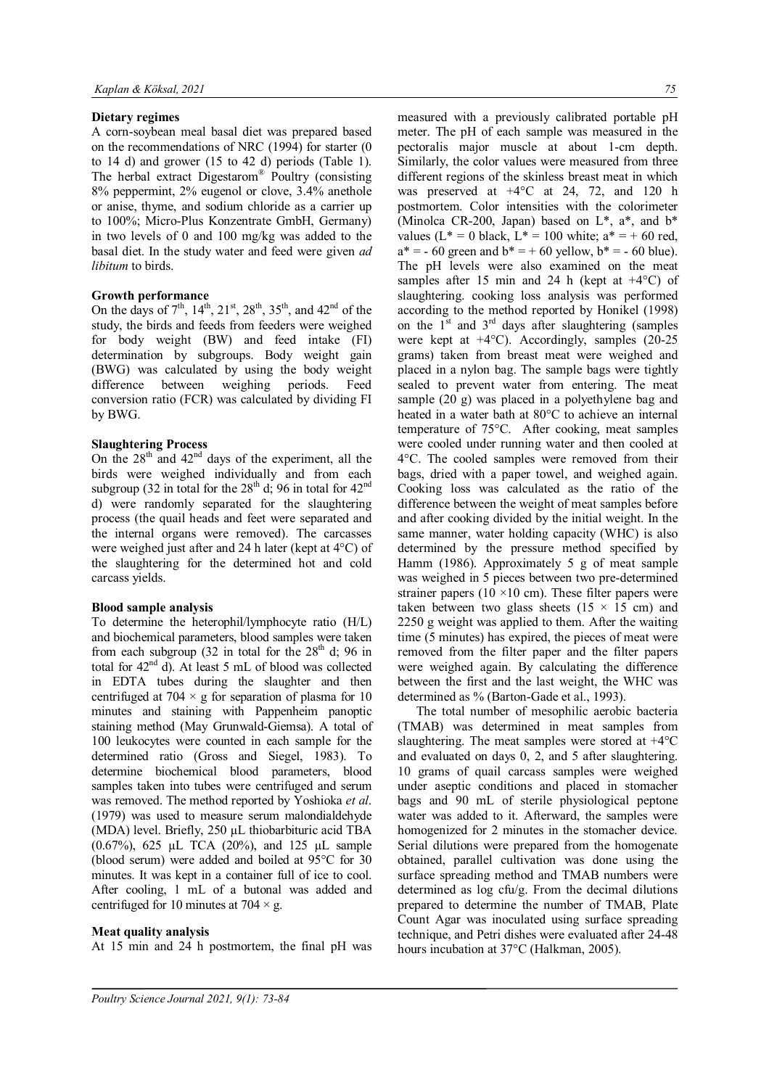# **Dietary regimes**

A corn-soybean meal basal diet was prepared based on the recommendations of NRC (1994) for starter (0 to 14 d) and grower (15 to 42 d) periods (Table 1). The herbal extract Digestarom® Poultry (consisting 8% peppermint, 2% eugenol or clove, 3.4% anethole or anise, thyme, and sodium chloride as a carrier up to 100%; Micro-Plus Konzentrate GmbH, Germany) in two levels of 0 and 100 mg/kg was added to the basal diet. In the study water and feed were given *ad libitum* to birds.

# **Growth performance**

On the days of  $7^{th}$ ,  $14^{th}$ ,  $21^{st}$ ,  $28^{th}$ ,  $35^{th}$ , and  $42^{nd}$  of the study, the birds and feeds from feeders were weighed for body weight (BW) and feed intake (FI) determination by subgroups. Body weight gain (BWG) was calculated by using the body weight difference between weighing periods. Feed conversion ratio (FCR) was calculated by dividing FI by BWG.

# **Slaughtering Process**

On the  $28<sup>th</sup>$  and  $42<sup>nd</sup>$  days of the experiment, all the birds were weighed individually and from each subgroup (32 in total for the  $28<sup>th</sup>$  d; 96 in total for  $42<sup>nd</sup>$ d) were randomly separated for the slaughtering process (the quail heads and feet were separated and the internal organs were removed). The carcasses were weighed just after and 24 h later (kept at 4°C) of the slaughtering for the determined hot and cold carcass yields.

## **Blood sample analysis**

To determine the heterophil/lymphocyte ratio (H/L) and biochemical parameters, blood samples were taken from each subgroup (32 in total for the  $28<sup>th</sup>$  d; 96 in total for 42<sup>nd</sup> d). At least 5 mL of blood was collected in EDTA tubes during the slaughter and then centrifuged at  $704 \times g$  for separation of plasma for 10 minutes and staining with Pappenheim panoptic staining method (May Grunwald-Giemsa). A total of 100 leukocytes were counted in each sample for the determined ratio (Gross and Siegel, 1983). To determine biochemical blood parameters, blood samples taken into tubes were centrifuged and serum was removed. The method reported by Yoshioka *et al*. (1979) was used to measure serum malondialdehyde (MDA) level. Briefly, 250 µL thiobarbituric acid TBA (0.67%), 625 µL TCA (20%), and 125 µL sample (blood serum) were added and boiled at 95°C for 30 minutes. It was kept in a container full of ice to cool. After cooling, 1 mL of a butonal was added and centrifuged for 10 minutes at 704  $\times$  g.

## **Meat quality analysis**

At 15 min and 24 h postmortem, the final pH was

measured with a previously calibrated portable pH meter. The pH of each sample was measured in the pectoralis major muscle at about 1-cm depth. Similarly, the color values were measured from three different regions of the skinless breast meat in which was preserved at  $+4$ °C at 24, 72, and 120 h postmortem. Color intensities with the colorimeter (Minolca CR-200, Japan) based on  $L^*$ ,  $a^*$ , and  $b^*$ values ( $L^* = 0$  black,  $L^* = 100$  white;  $a^* = +60$  red,  $a^* = -60$  green and  $b^* = +60$  yellow,  $b^* = -60$  blue). The pH levels were also examined on the meat samples after 15 min and 24 h (kept at  $+4^{\circ}$ C) of slaughtering. cooking loss analysis was performed according to the method reported by Honikel (1998) on the  $1<sup>st</sup>$  and  $3<sup>rd</sup>$  days after slaughtering (samples were kept at  $+4^{\circ}$ C). Accordingly, samples (20-25) grams) taken from breast meat were weighed and placed in a nylon bag. The sample bags were tightly sealed to prevent water from entering. The meat sample (20 g) was placed in a polyethylene bag and heated in a water bath at 80°C to achieve an internal temperature of 75°C. After cooking, meat samples were cooled under running water and then cooled at 4°C. The cooled samples were removed from their bags, dried with a paper towel, and weighed again. Cooking loss was calculated as the ratio of the difference between the weight of meat samples before and after cooking divided by the initial weight. In the same manner, water holding capacity (WHC) is also determined by the pressure method specified by Hamm (1986). Approximately 5 g of meat sample was weighed in 5 pieces between two pre-determined strainer papers (10  $\times$ 10 cm). These filter papers were taken between two glass sheets  $(15 \times 15 \text{ cm})$  and 2250 g weight was applied to them. After the waiting time (5 minutes) has expired, the pieces of meat were removed from the filter paper and the filter papers were weighed again. By calculating the difference between the first and the last weight, the WHC was determined as % (Barton-Gade et al., 1993).

The total number of mesophilic aerobic bacteria (TMAB) was determined in meat samples from slaughtering. The meat samples were stored at +4°C and evaluated on days 0, 2, and 5 after slaughtering. 10 grams of quail carcass samples were weighed under aseptic conditions and placed in stomacher bags and 90 mL of sterile physiological peptone water was added to it. Afterward, the samples were homogenized for 2 minutes in the stomacher device. Serial dilutions were prepared from the homogenate obtained, parallel cultivation was done using the surface spreading method and TMAB numbers were determined as log cfu/g. From the decimal dilutions prepared to determine the number of TMAB, Plate Count Agar was inoculated using surface spreading technique, and Petri dishes were evaluated after 24-48 hours incubation at 37°C (Halkman, 2005).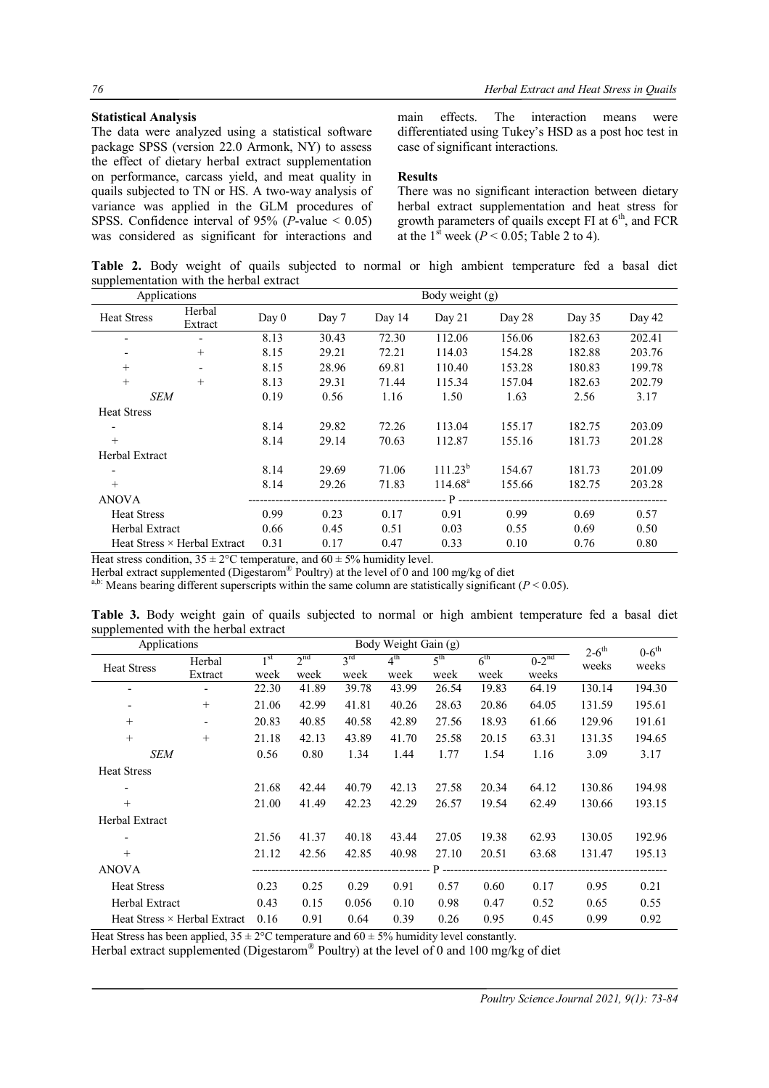## **Statistical Analysis**

The data were analyzed using a statistical software package SPSS (version 22.0 Armonk, NY) to assess the effect of dietary herbal extract supplementation on performance, carcass yield, and meat quality in quails subjected to TN or HS. A two-way analysis of variance was applied in the GLM procedures of SPSS. Confidence interval of 95% ( $P$ -value  $\leq 0.05$ ) was considered as significant for interactions and main effects. The interaction means were differentiated using Tukey's HSD as a post hoc test in case of significant interactions.

## **Results**

There was no significant interaction between dietary herbal extract supplementation and heat stress for growth parameters of quails except FI at  $6<sup>th</sup>$ , and FCR at the  $1<sup>st</sup>$  week ( $P < 0.05$ ; Table 2 to 4).

**Table 2.** Body weight of quails subjected to normal or high ambient temperature fed a basal diet supplementation with the herbal extract

| Applications             |                                     | Body weight $(g)$ |       |        |                  |        |          |        |  |
|--------------------------|-------------------------------------|-------------------|-------|--------|------------------|--------|----------|--------|--|
| <b>Heat Stress</b>       | Herbal<br>Extract                   | Day 0             | Day 7 | Day 14 | Day $21$         | Day 28 | Day $35$ | Day 42 |  |
| ٠                        |                                     | 8.13              | 30.43 | 72.30  | 112.06           | 156.06 | 182.63   | 202.41 |  |
|                          | $+$                                 | 8.15              | 29.21 | 72.21  | 114.03           | 154.28 | 182.88   | 203.76 |  |
| $+$                      |                                     | 8.15              | 28.96 | 69.81  | 110.40           | 153.28 | 180.83   | 199.78 |  |
| $+$                      | $^{+}$                              | 8.13              | 29.31 | 71.44  | 115.34           | 157.04 | 182.63   | 202.79 |  |
| SEM                      |                                     | 0.19              | 0.56  | 1.16   | 1.50             | 1.63   | 2.56     | 3.17   |  |
| <b>Heat Stress</b>       |                                     |                   |       |        |                  |        |          |        |  |
| $\overline{\phantom{a}}$ |                                     | 8.14              | 29.82 | 72.26  | 113.04           | 155.17 | 182.75   | 203.09 |  |
| $+$                      |                                     | 8.14              | 29.14 | 70.63  | 112.87           | 155.16 | 181.73   | 201.28 |  |
| Herbal Extract           |                                     |                   |       |        |                  |        |          |        |  |
|                          |                                     | 8.14              | 29.69 | 71.06  | $111.23^{b}$     | 154.67 | 181.73   | 201.09 |  |
| $+$                      |                                     | 8.14              | 29.26 | 71.83  | $114.68^{\rm a}$ | 155.66 | 182.75   | 203.28 |  |
| <b>ANOVA</b>             |                                     |                   |       |        | P                |        |          |        |  |
| <b>Heat Stress</b>       |                                     | 0.99              | 0.23  | 0.17   | 0.91             | 0.99   | 0.69     | 0.57   |  |
| <b>Herbal Extract</b>    |                                     | 0.66              | 0.45  | 0.51   | 0.03             | 0.55   | 0.69     | 0.50   |  |
|                          | Heat Stress $\times$ Herbal Extract | 0.31              | 0.17  | 0.47   | 0.33             | 0.10   | 0.76     | 0.80   |  |

Heat stress condition,  $35 \pm 2^{\circ}$ C temperature, and  $60 \pm 5\%$  humidity level.

Herbal extract supplemented (Digestarom® Poultry) at the level of 0 and 100 mg/kg of diet

a,b: Means bearing different superscripts within the same column are statistically significant ( $P < 0.05$ ).

**Table 3.** Body weight gain of quails subjected to normal or high ambient temperature fed a basal diet supplemented with the herbal extract

| Body Weight Gain (g)<br>Applications |                                     |                 |                 |                 |                 | $2-6$ <sup>th</sup> | $0-6$ <sup>th</sup> |            |        |        |
|--------------------------------------|-------------------------------------|-----------------|-----------------|-----------------|-----------------|---------------------|---------------------|------------|--------|--------|
| <b>Heat Stress</b>                   | Herbal                              | 1 <sup>st</sup> | 2 <sup>nd</sup> | $3^{\text{rd}}$ | $4^{\text{th}}$ | 5 <sup>th</sup>     | 6 <sup>th</sup>     | $0-2^{nd}$ | weeks  | weeks  |
|                                      | Extract                             | week            | week            | week            | week            | week                | week                | weeks      |        |        |
|                                      |                                     | 22.30           | 41.89           | 39.78           | 43.99           | 26.54               | 19.83               | 64.19      | 130.14 | 194.30 |
|                                      | $^{+}$                              | 21.06           | 42.99           | 41.81           | 40.26           | 28.63               | 20.86               | 64.05      | 131.59 | 195.61 |
| $+$                                  |                                     | 20.83           | 40.85           | 40.58           | 42.89           | 27.56               | 18.93               | 61.66      | 129.96 | 191.61 |
| $+$                                  | $^{+}$                              | 21.18           | 42.13           | 43.89           | 41.70           | 25.58               | 20.15               | 63.31      | 131.35 | 194.65 |
| <b>SEM</b>                           |                                     | 0.56            | 0.80            | 1.34            | 1.44            | 1.77                | 1.54                | 1.16       | 3.09   | 3.17   |
| <b>Heat Stress</b>                   |                                     |                 |                 |                 |                 |                     |                     |            |        |        |
|                                      |                                     | 21.68           | 42.44           | 40.79           | 42.13           | 27.58               | 20.34               | 64.12      | 130.86 | 194.98 |
| $+$                                  |                                     | 21.00           | 41.49           | 42.23           | 42.29           | 26.57               | 19.54               | 62.49      | 130.66 | 193.15 |
| Herbal Extract                       |                                     |                 |                 |                 |                 |                     |                     |            |        |        |
| $\overline{\phantom{a}}$             |                                     | 21.56           | 41.37           | 40.18           | 43.44           | 27.05               | 19.38               | 62.93      | 130.05 | 192.96 |
|                                      |                                     | 21.12           | 42.56           | 42.85           | 40.98           | 27.10               | 20.51               | 63.68      | 131.47 | 195.13 |
| <b>ANOVA</b>                         |                                     |                 |                 |                 |                 | $P -$               |                     |            |        |        |
| <b>Heat Stress</b>                   |                                     | 0.23            | 0.25            | 0.29            | 0.91            | 0.57                | 0.60                | 0.17       | 0.95   | 0.21   |
| Herbal Extract                       |                                     | 0.43            | 0.15            | 0.056           | 0.10            | 0.98                | 0.47                | 0.52       | 0.65   | 0.55   |
|                                      | Heat Stress $\times$ Herbal Extract | 0.16            | 0.91            | 0.64            | 0.39            | 0.26                | 0.95                | 0.45       | 0.99   | 0.92   |

Heat Stress has been applied,  $35 \pm 2$ °C temperature and  $60 \pm 5$ % humidity level constantly.

Herbal extract supplemented (Digestarom® Poultry) at the level of 0 and 100 mg/kg of diet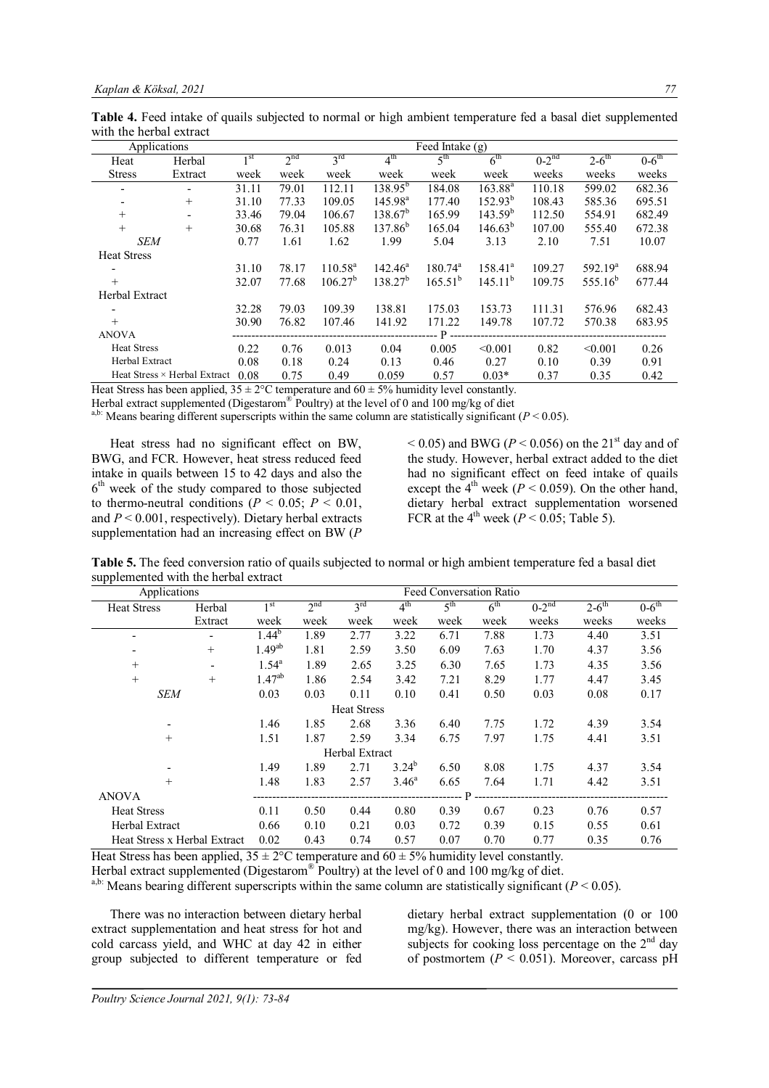**Table 4.** Feed intake of quails subjected to normal or high ambient temperature fed a basal diet supplemented with the herbal extract

| Applications       |                              |       |                 |                     |                     | Feed Intake (g)  |                 |         |                     |         |
|--------------------|------------------------------|-------|-----------------|---------------------|---------------------|------------------|-----------------|---------|---------------------|---------|
| Heat               | Herbal                       | 1 st  | 2 <sup>nd</sup> | $3^{rd}$            | 4 <sup>th</sup>     | 5 <sup>th</sup>  | 6 <sup>th</sup> | $0-2nd$ | $2-6$ <sup>th</sup> | $0-6th$ |
| <b>Stress</b>      | Extract                      | week  | week            | week                | week                | week             | week            | weeks   | weeks               | weeks   |
|                    |                              | 31.11 | 79.01           | 112.11              | $138.95^{b}$        | 184.08           | $163.88^{a}$    | 110.18  | 599.02              | 682.36  |
|                    | $^{+}$                       | 31.10 | 77.33           | 109.05              | 145.98 <sup>a</sup> | 177.40           | $152.93^{b}$    | 108.43  | 585.36              | 695.51  |
| $+$                | $\overline{\phantom{a}}$     | 33.46 | 79.04           | 106.67              | $138.67^b$          | 165.99           | $143.59^{b}$    | 112.50  | 554.91              | 682.49  |
| $+$                | $^{+}$                       | 30.68 | 76.31           | 105.88              | $137.86^{b}$        | 165.04           | $146.63^{b}$    | 107.00  | 555.40              | 672.38  |
| <b>SEM</b>         |                              | 0.77  | 1.61            | 1.62                | 1.99                | 5.04             | 3.13            | 2.10    | 7.51                | 10.07   |
| <b>Heat Stress</b> |                              |       |                 |                     |                     |                  |                 |         |                     |         |
|                    |                              | 31.10 | 78.17           | $110.58^{\text{a}}$ | $142.46^a$          | $180.74^{\circ}$ | $158.41^a$      | 109.27  | 592.19 <sup>a</sup> | 688.94  |
| $+$                |                              | 32.07 | 77.68           | 106.27 <sup>b</sup> | $138.27^{b}$        | $165.51^{b}$     | $145.11^{b}$    | 109.75  | $555.16^{b}$        | 677.44  |
| Herbal Extract     |                              |       |                 |                     |                     |                  |                 |         |                     |         |
|                    |                              | 32.28 | 79.03           | 109.39              | 138.81              | 175.03           | 153.73          | 111.31  | 576.96              | 682.43  |
| $+$                |                              | 30.90 | 76.82           | 107.46              | 141.92              | 171.22           | 149.78          | 107.72  | 570.38              | 683.95  |
| <b>ANOVA</b>       |                              |       |                 |                     |                     | . <b>D</b>       |                 |         |                     |         |
| <b>Heat Stress</b> |                              | 0.22  | 0.76            | 0.013               | 0.04                | 0.005            | < 0.001         | 0.82    | < 0.001             | 0.26    |
| Herbal Extract     |                              | 0.08  | 0.18            | 0.24                | 0.13                | 0.46             | 0.27            | 0.10    | 0.39                | 0.91    |
|                    | Heat Stress × Herbal Extract | 0.08  | 0.75            | 0.49                | 0.059               | 0.57             | $0.03*$         | 0.37    | 0.35                | 0.42    |

Heat Stress has been applied,  $35 \pm 2^{\circ}$ C temperature and  $60 \pm 5\%$  humidity level constantly.

Herbal extract supplemented (Digestarom® Poultry) at the level of 0 and 100 mg/kg of diet

<sup>a,b:</sup> Means bearing different superscripts within the same column are statistically significant ( $P < 0.05$ ).

Heat stress had no significant effect on BW, BWG, and FCR. However, heat stress reduced feed intake in quails between 15 to 42 days and also the 6 th week of the study compared to those subjected to thermo-neutral conditions ( $P \le 0.05$ ;  $P \le 0.01$ , and *P* < 0.001, respectively). Dietary herbal extracts supplementation had an increasing effect on BW (*P*

 $<$  0.05) and BWG (*P*  $<$  0.056) on the 21<sup>st</sup> day and of the study. However, herbal extract added to the diet had no significant effect on feed intake of quails except the  $4<sup>th</sup>$  week ( $P < 0.059$ ). On the other hand, dietary herbal extract supplementation worsened FCR at the 4<sup>th</sup> week ( $P < 0.05$ ; Table 5).

**Table 5.** The feed conversion ratio of quails subjected to normal or high ambient temperature fed a basal diet supplemented with the herbal extract

| Applications                 |                          | Feed Conversation Ratio |                 |                    |                 |                 |                 |         |                     |                     |
|------------------------------|--------------------------|-------------------------|-----------------|--------------------|-----------------|-----------------|-----------------|---------|---------------------|---------------------|
| <b>Heat Stress</b>           | Herbal                   | 1 <sup>st</sup>         | 2 <sup>nd</sup> | 3 <sup>rd</sup>    | 4 <sup>th</sup> | 5 <sup>th</sup> | 6 <sup>th</sup> | $0-2nd$ | $2-6$ <sup>th</sup> | $0-6$ <sup>th</sup> |
|                              | Extract                  | week                    | week            | week               | week            | week            | week            | weeks   | weeks               | weeks               |
| ٠                            |                          | $1.44^{b}$              | 1.89            | 2.77               | 3.22            | 6.71            | 7.88            | 1.73    | 4.40                | 3.51                |
| $\overline{\phantom{a}}$     | $^{+}$                   | $1.49^{ab}$             | 1.81            | 2.59               | 3.50            | 6.09            | 7.63            | 1.70    | 4.37                | 3.56                |
| $+$                          | $\overline{\phantom{a}}$ | $1.54^{\circ}$          | 1.89            | 2.65               | 3.25            | 6.30            | 7.65            | 1.73    | 4.35                | 3.56                |
| $+$                          | $^{+}$                   | $1.47^{ab}$             | 1.86            | 2.54               | 3.42            | 7.21            | 8.29            | 1.77    | 4.47                | 3.45                |
| <b>SEM</b>                   |                          | 0.03                    | 0.03            | 0.11               | 0.10            | 0.41            | 0.50            | 0.03    | 0.08                | 0.17                |
|                              |                          |                         |                 | <b>Heat Stress</b> |                 |                 |                 |         |                     |                     |
|                              |                          | 1.46                    | 1.85            | 2.68               | 3.36            | 6.40            | 7.75            | 1.72    | 4.39                | 3.54                |
| $+$                          |                          | 1.51                    | 1.87            | 2.59               | 3.34            | 6.75            | 7.97            | 1.75    | 4.41                | 3.51                |
|                              |                          |                         |                 | Herbal Extract     |                 |                 |                 |         |                     |                     |
|                              |                          | 1.49                    | 1.89            | 2.71               | $3.24^{b}$      | 6.50            | 8.08            | 1.75    | 4.37                | 3.54                |
| $+$                          |                          | 1.48                    | 1.83            | 2.57               | $3.46^{\circ}$  | 6.65            | 7.64            | 1.71    | 4.42                | 3.51                |
| <b>ANOVA</b>                 |                          |                         |                 |                    |                 | P               |                 |         |                     |                     |
| <b>Heat Stress</b>           |                          | 0.11                    | 0.50            | 0.44               | 0.80            | 0.39            | 0.67            | 0.23    | 0.76                | 0.57                |
| Herbal Extract               |                          | 0.66                    | 0.10            | 0.21               | 0.03            | 0.72            | 0.39            | 0.15    | 0.55                | 0.61                |
| Heat Stress x Herbal Extract |                          | 0.02                    | 0.43            | 0.74               | 0.57            | 0.07            | 0.70            | 0.77    | 0.35                | 0.76                |

Heat Stress has been applied,  $35 \pm 2$ °C temperature and  $60 \pm 5$ % humidity level constantly.

Herbal extract supplemented (Digestarom® Poultry) at the level of 0 and 100 mg/kg of diet.

<sup>a,b:</sup> Means bearing different superscripts within the same column are statistically significant ( $P < 0.05$ ).

There was no interaction between dietary herbal extract supplementation and heat stress for hot and cold carcass yield, and WHC at day 42 in either group subjected to different temperature or fed dietary herbal extract supplementation (0 or 100 mg/kg). However, there was an interaction between subjects for cooking loss percentage on the  $2<sup>nd</sup>$  day of postmortem  $(P < 0.051)$ . Moreover, carcass pH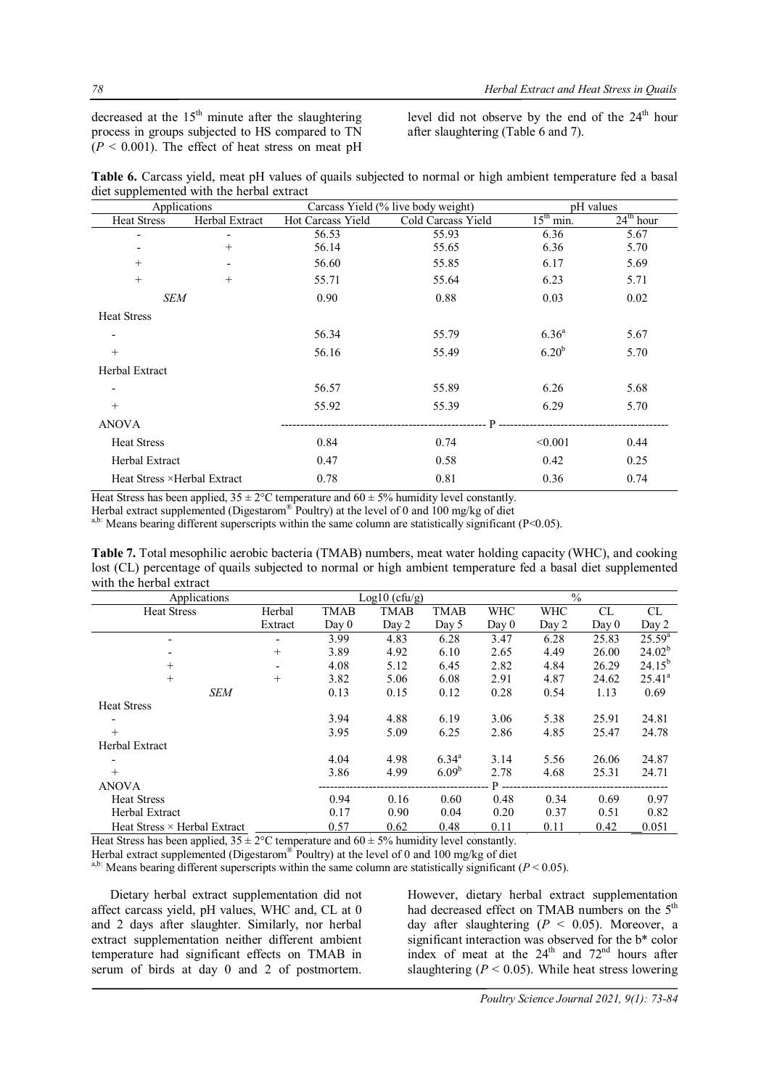decreased at the  $15<sup>th</sup>$  minute after the slaughtering process in groups subjected to HS compared to TN  $(P < 0.001)$ . The effect of heat stress on meat pH level did not observe by the end of the  $24<sup>th</sup>$  hour after slaughtering (Table 6 and 7).

| Table 6. Carcass yield, meat pH values of quails subjected to normal or high ambient temperature fed a basal |  |  |  |  |  |
|--------------------------------------------------------------------------------------------------------------|--|--|--|--|--|
| diet supplemented with the herbal extract                                                                    |  |  |  |  |  |

| Applications                 |                          |                   | Carcass Yield (% live body weight) | pH values                    |             |  |
|------------------------------|--------------------------|-------------------|------------------------------------|------------------------------|-------------|--|
| <b>Heat Stress</b>           | Herbal Extract           | Hot Carcass Yield | Cold Carcass Yield                 | $15th$ min.                  | $24th$ hour |  |
|                              |                          | 56.53             | 55.93                              | 6.36                         | 5.67        |  |
|                              | $^{+}$                   | 56.14             | 55.65                              | 6.36                         | 5.70        |  |
| $+$                          | $\overline{\phantom{a}}$ | 56.60             | 55.85                              | 6.17                         | 5.69        |  |
| $+$                          | $^{+}$                   | 55.71             | 55.64                              | 6.23                         | 5.71        |  |
| <b>SEM</b>                   |                          | 0.90              | 0.88                               | 0.03                         | 0.02        |  |
| <b>Heat Stress</b>           |                          |                   |                                    |                              |             |  |
| $\overline{\phantom{a}}$     |                          | 56.34             | 55.79                              | $6.36^{a}$                   | 5.67        |  |
| $+$                          |                          | 56.16             | 55.49                              | 6.20 <sup>b</sup>            | 5.70        |  |
| Herbal Extract               |                          |                   |                                    |                              |             |  |
| $\overline{\phantom{a}}$     |                          | 56.57             | 55.89                              | 6.26                         | 5.68        |  |
| $+$                          |                          | 55.92             | 55.39                              | 6.29                         | 5.70        |  |
| <b>ANOVA</b>                 |                          |                   | $\mathbf{P}$<br>----------         | ____________________________ |             |  |
| <b>Heat Stress</b>           |                          | 0.84              | 0.74                               | < 0.001                      | 0.44        |  |
| <b>Herbal Extract</b>        |                          | 0.47              | 0.58                               | 0.42                         | 0.25        |  |
| Heat Stress × Herbal Extract |                          | 0.78              | 0.81                               | 0.36                         | 0.74        |  |

Heat Stress has been applied,  $35 \pm 2^{\circ}$ C temperature and  $60 \pm 5\%$  humidity level constantly.

Herbal extract supplemented (Digestarom® Poultry) at the level of 0 and 100 mg/kg of diet

a,b: Means bearing different superscripts within the same column are statistically significant (P<0.05).

**Table 7.** Total mesophilic aerobic bacteria (TMAB) numbers, meat water holding capacity (WHC), and cooking lost (CL) percentage of quails subjected to normal or high ambient temperature fed a basal diet supplemented with the herbal extract

| Applications                        |         |             | $Log10$ (cfu/g) |             |             | $\%$       |       |             |  |
|-------------------------------------|---------|-------------|-----------------|-------------|-------------|------------|-------|-------------|--|
| <b>Heat Stress</b>                  | Herbal  | <b>TMAB</b> | <b>TMAB</b>     | <b>TMAB</b> | <b>WHC</b>  | <b>WHC</b> | CL    | CL          |  |
|                                     | Extract | Day 0       | Day 2           | Day 5       | Day 0       | Day 2      | Day 0 | Day 2       |  |
|                                     |         | 3.99        | 4.83            | 6.28        | 3.47        | 6.28       | 25.83 | $25.59^{a}$ |  |
|                                     | $^{+}$  | 3.89        | 4.92            | 6.10        | 2.65        | 4.49       | 26.00 | $24.02^{b}$ |  |
| $^{+}$                              |         | 4.08        | 5.12            | 6.45        | 2.82        | 4.84       | 26.29 | $24.15^{b}$ |  |
| $^{+}$                              | $^{+}$  | 3.82        | 5.06            | 6.08        | 2.91        | 4.87       | 24.62 | $25.41^a$   |  |
| <b>SEM</b>                          |         | 0.13        | 0.15            | 0.12        | 0.28        | 0.54       | 1.13  | 0.69        |  |
| <b>Heat Stress</b>                  |         |             |                 |             |             |            |       |             |  |
|                                     |         | 3.94        | 4.88            | 6.19        | 3.06        | 5.38       | 25.91 | 24.81       |  |
| $+$                                 |         | 3.95        | 5.09            | 6.25        | 2.86        | 4.85       | 25.47 | 24.78       |  |
| Herbal Extract                      |         |             |                 |             |             |            |       |             |  |
|                                     |         | 4.04        | 4.98            | $6.34^{a}$  | 3.14        | 5.56       | 26.06 | 24.87       |  |
| $+$                                 |         | 3.86        | 4.99            | $6.09^{b}$  | 2.78        | 4.68       | 25.31 | 24.71       |  |
| <b>ANOVA</b>                        |         |             |                 |             | <b>P</b> -- |            |       |             |  |
| <b>Heat Stress</b>                  |         | 0.94        | 0.16            | 0.60        | 0.48        | 0.34       | 0.69  | 0.97        |  |
| Herbal Extract                      |         | 0.17        | 0.90            | 0.04        | 0.20        | 0.37       | 0.51  | 0.82        |  |
| Heat Stress $\times$ Herbal Extract |         | 0.57        | 0.62            | 0.48        | 0.11        | 0.11       | 0.42  | 0.051       |  |

Heat Stress has been applied,  $35 \pm 2$ °C temperature and  $60 \pm 5$ % humidity level constantly.

Herbal extract supplemented (Digestarom® Poultry) at the level of 0 and 100 mg/kg of diet

<sup>a,b:</sup> Means bearing different superscripts within the same column are statistically significant ( $P < 0.05$ ).

Dietary herbal extract supplementation did not affect carcass yield, pH values, WHC and, CL at 0 and 2 days after slaughter. Similarly, nor herbal extract supplementation neither different ambient temperature had significant effects on TMAB in serum of birds at day 0 and 2 of postmortem. However, dietary herbal extract supplementation had decreased effect on TMAB numbers on the 5<sup>th</sup> day after slaughtering  $(P < 0.05)$ . Moreover, a significant interaction was observed for the b\* color index of meat at the  $24<sup>th</sup>$  and  $72<sup>nd</sup>$  hours after slaughtering  $(P < 0.05)$ . While heat stress lowering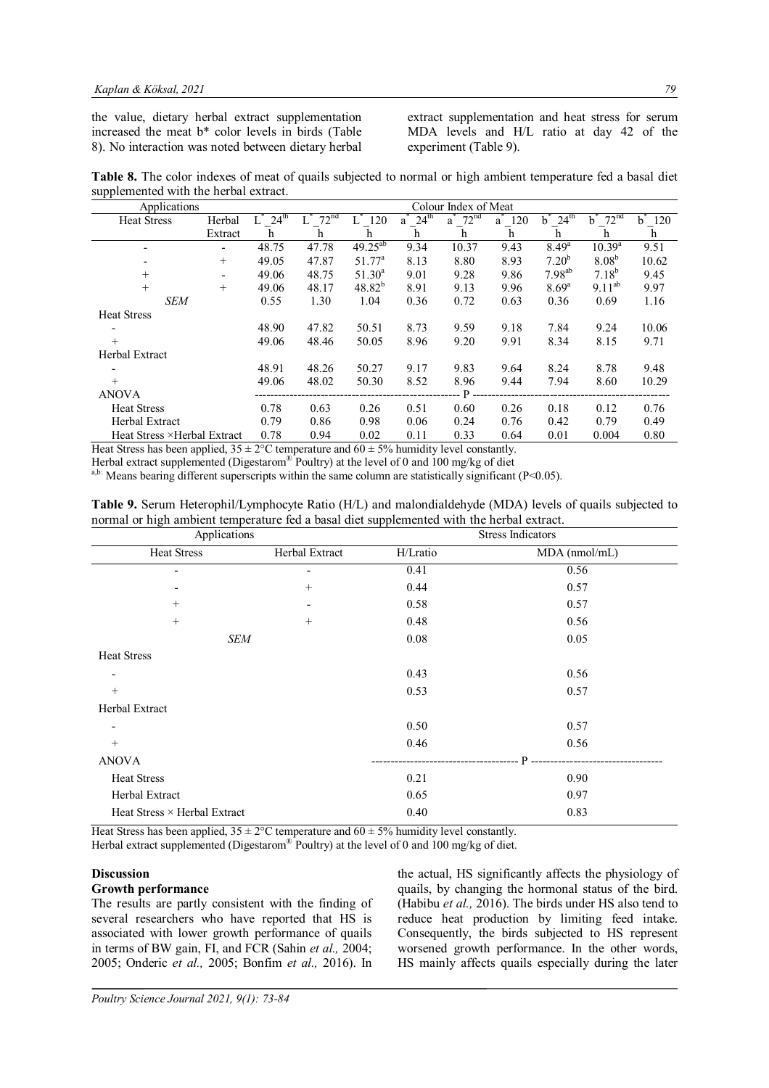the value, dietary herbal extract supplementation increased the meat b\* color levels in birds (Table 8). No interaction was noted between dietary herbal

extract supplementation and heat stress for serum MDA levels and H/L ratio at day 42 of the experiment (Table 9).

**Table 8.** The color indexes of meat of quails subjected to normal or high ambient temperature fed a basal diet supplemented with the herbal extract.

| Applications                                                                                              |         |                  |                  |                 |                       | Colour Index of Meat   |           |                       |                        |                   |
|-----------------------------------------------------------------------------------------------------------|---------|------------------|------------------|-----------------|-----------------------|------------------------|-----------|-----------------------|------------------------|-------------------|
| <b>Heat Stress</b>                                                                                        | Herbal  | 24 <sup>th</sup> | 72 <sup>nd</sup> | 120             | $24^{\text{th}}$<br>a | $a^*$ 72 <sup>nd</sup> | $a^2$ 120 | $24^{\text{th}}$<br>h | 72 <sup>nd</sup><br>h. | $b^{\dagger}$ 120 |
|                                                                                                           | Extract | h                | h                | h               | h                     | h                      | h         | h                     | h.                     | h                 |
|                                                                                                           |         | 48.75            | 47.78            | $49.25^{ab}$    | 9.34                  | 10.37                  | 9.43      | 8.49 <sup>a</sup>     | $10.39^{a}$            | 9.51              |
|                                                                                                           | $+$     | 49.05            | 47.87            | $51.77^{\circ}$ | 8.13                  | 8.80                   | 8.93      | $7.20^{b}$            | 8.08 <sup>b</sup>      | 10.62             |
| $^{+}$                                                                                                    |         | 49.06            | 48.75            | $51.30^a$       | 9.01                  | 9.28                   | 9.86      | $7.98^{ab}$           | $7.18^{b}$             | 9.45              |
| $+$                                                                                                       | $+$     | 49.06            | 48.17            | $48.82^{b}$     | 8.91                  | 9.13                   | 9.96      | $8.69^{a}$            | $9.11^{ab}$            | 9.97              |
| <b>SEM</b>                                                                                                |         | 0.55             | 1.30             | 1.04            | 0.36                  | 0.72                   | 0.63      | 0.36                  | 0.69                   | 1.16              |
| <b>Heat Stress</b>                                                                                        |         |                  |                  |                 |                       |                        |           |                       |                        |                   |
|                                                                                                           |         | 48.90            | 47.82            | 50.51           | 8.73                  | 9.59                   | 9.18      | 7.84                  | 9.24                   | 10.06             |
| $^{+}$                                                                                                    |         | 49.06            | 48.46            | 50.05           | 8.96                  | 9.20                   | 9.91      | 8.34                  | 8.15                   | 9.71              |
| Herbal Extract                                                                                            |         |                  |                  |                 |                       |                        |           |                       |                        |                   |
|                                                                                                           |         | 48.91            | 48.26            | 50.27           | 9.17                  | 9.83                   | 9.64      | 8.24                  | 8.78                   | 9.48              |
| $^{+}$                                                                                                    |         | 49.06            | 48.02            | 50.30           | 8.52                  | 8.96                   | 9.44      | 7.94                  | 8.60                   | 10.29             |
| <b>ANOVA</b>                                                                                              |         |                  |                  |                 |                       | . P.                   |           |                       |                        |                   |
| <b>Heat Stress</b>                                                                                        |         | 0.78             | 0.63             | 0.26            | 0.51                  | 0.60                   | 0.26      | 0.18                  | 0.12                   | 0.76              |
| <b>Herbal Extract</b>                                                                                     |         | 0.79             | 0.86             | 0.98            | 0.06                  | 0.24                   | 0.76      | 0.42                  | 0.79                   | 0.49              |
| Heat Stress ×Herbal Extract                                                                               |         | 0.78             | 0.94             | 0.02            | 0.11                  | 0.33                   | 0.64      | 0.01                  | 0.004                  | 0.80              |
| $H_{\text{out}}$ Chase has been constant $25 + 290$ hours each as a $470 + 50/$ hours directed constants. |         |                  |                  |                 |                       |                        |           |                       |                        |                   |

Heat Stress has been applied,  $35 \pm 2^{\circ}$ C temperature and  $60 \pm 5\%$  humidity level constantly.

Herbal extract supplemented (Digestarom® Poultry) at the level of 0 and 100 mg/kg of diet

a,b: Means bearing different superscripts within the same column are statistically significant ( $P < 0.05$ ).

| Table 9. Serum Heterophil/Lymphocyte Ratio (H/L) and malondialdehyde (MDA) levels of quails subjected to |  |
|----------------------------------------------------------------------------------------------------------|--|
| normal or high ambient temperature fed a basal diet supplemented with the herbal extract.                |  |

| Applications                        |                | <b>Stress Indicators</b> |               |  |  |  |
|-------------------------------------|----------------|--------------------------|---------------|--|--|--|
| <b>Heat Stress</b>                  | Herbal Extract | H/Lratio                 | MDA (nmol/mL) |  |  |  |
| ۰                                   |                | 0.41                     | 0.56          |  |  |  |
| ۰                                   | $^{+}$         | 0.44                     | 0.57          |  |  |  |
| $+$                                 | ٠              | 0.58                     | 0.57          |  |  |  |
| $+$                                 | $+$            | 0.48                     | 0.56          |  |  |  |
| SEM                                 |                | 0.08                     | 0.05          |  |  |  |
| <b>Heat Stress</b>                  |                |                          |               |  |  |  |
| -                                   |                | 0.43                     | 0.56          |  |  |  |
| $+$                                 |                | 0.53                     | 0.57          |  |  |  |
| Herbal Extract                      |                |                          |               |  |  |  |
| -                                   |                | 0.50                     | 0.57          |  |  |  |
| $+$                                 |                | 0.46                     | 0.56          |  |  |  |
| <b>ANOVA</b>                        |                |                          | D             |  |  |  |
| <b>Heat Stress</b>                  |                | 0.21                     | 0.90          |  |  |  |
| Herbal Extract                      |                | 0.65                     | 0.97          |  |  |  |
| Heat Stress $\times$ Herbal Extract |                | 0.40                     | 0.83          |  |  |  |

Heat Stress has been applied,  $35 \pm 2$ °C temperature and  $60 \pm 5$ % humidity level constantly. Herbal extract supplemented (Digestarom® Poultry) at the level of 0 and 100 mg/kg of diet.

# **Discussion**

## **Growth performance**

The results are partly consistent with the finding of several researchers who have reported that HS is associated with lower growth performance of quails in terms of BW gain, FI, and FCR (Sahin *et al.,* 2004; 2005; Onderic *et al.,* 2005; Bonfim *et al.,* 2016). In

the actual, HS significantly affects the physiology of quails, by changing the hormonal status of the bird. (Habibu *et al.,* 2016). The birds under HS also tend to reduce heat production by limiting feed intake. Consequently, the birds subjected to HS represent worsened growth performance. In the other words, HS mainly affects quails especially during the later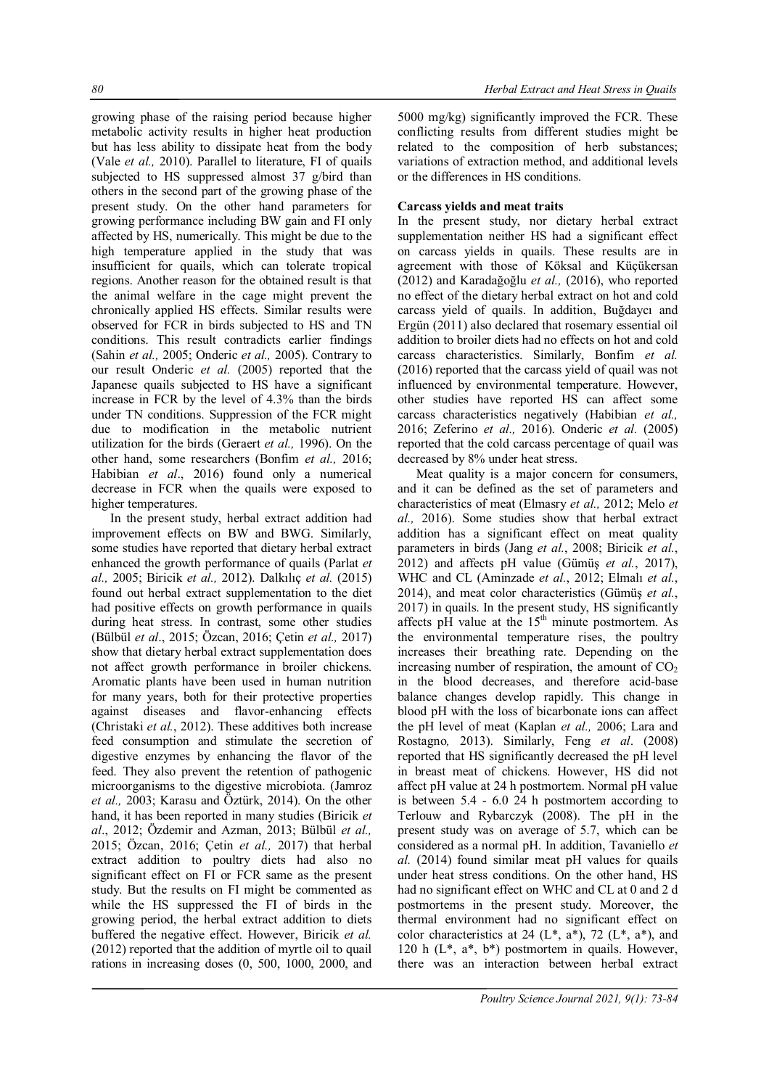growing phase of the raising period because higher metabolic activity results in higher heat production but has less ability to dissipate heat from the body (Vale *et al.,* 2010). Parallel to literature, FI of quails subjected to HS suppressed almost 37 g/bird than others in the second part of the growing phase of the present study. On the other hand parameters for growing performance including BW gain and FI only affected by HS, numerically. This might be due to the high temperature applied in the study that was insufficient for quails, which can tolerate tropical regions. Another reason for the obtained result is that the animal welfare in the cage might prevent the chronically applied HS effects. Similar results were observed for FCR in birds subjected to HS and TN conditions. This result contradicts earlier findings (Sahin *et al.,* 2005; Onderic *et al.,* 2005). Contrary to our result Onderic *et al.* (2005) reported that the Japanese quails subjected to HS have a significant increase in FCR by the level of 4.3% than the birds under TN conditions. Suppression of the FCR might due to modification in the metabolic nutrient utilization for the birds (Geraert *et al.,* 1996). On the other hand, some researchers (Bonfim *et al.,* 2016; Habibian *et al*., 2016) found only a numerical decrease in FCR when the quails were exposed to higher temperatures.

In the present study, herbal extract addition had improvement effects on BW and BWG. Similarly, some studies have reported that dietary herbal extract enhanced the growth performance of quails (Parlat *et al.,* 2005; Biricik *et al.,* 2012). Dalkılıç *et al.* (2015) found out herbal extract supplementation to the diet had positive effects on growth performance in quails during heat stress. In contrast, some other studies (Bülbül *et al*., 2015; Özcan, 2016; Çetin *et al.,* 2017) show that dietary herbal extract supplementation does not affect growth performance in broiler chickens. Aromatic plants have been used in human nutrition for many years, both for their protective properties against diseases and flavor-enhancing effects (Christaki *et al.*, 2012). These additives both increase feed consumption and stimulate the secretion of digestive enzymes by enhancing the flavor of the feed. They also prevent the retention of pathogenic microorganisms to the digestive microbiota. (Jamroz *et al.,* 2003; Karasu and Öztürk, 2014). On the other hand, it has been reported in many studies (Biricik *et al*., 2012; Özdemir and Azman, 2013; Bülbül *et al.,* 2015; Özcan, 2016; Çetin *et al.,* 2017) that herbal extract addition to poultry diets had also no significant effect on FI or FCR same as the present study. But the results on FI might be commented as while the HS suppressed the FI of birds in the growing period, the herbal extract addition to diets buffered the negative effect. However, Biricik *et al.* (2012) reported that the addition of myrtle oil to quail rations in increasing doses (0, 500, 1000, 2000, and

5000 mg/kg) significantly improved the FCR. These conflicting results from different studies might be related to the composition of herb substances; variations of extraction method, and additional levels or the differences in HS conditions.

# **Carcass yields and meat traits**

In the present study, nor dietary herbal extract supplementation neither HS had a significant effect on carcass yields in quails. These results are in agreement with those of Köksal and Küçükersan (2012) and Karadağoğlu *et al.,* (2016), who reported no effect of the dietary herbal extract on hot and cold carcass yield of quails. In addition, Buğdaycı and Ergün (2011) also declared that rosemary essential oil addition to broiler diets had no effects on hot and cold carcass characteristics. Similarly, Bonfim *et al.* (2016) reported that the carcass yield of quail was not influenced by environmental temperature. However, other studies have reported HS can affect some carcass characteristics negatively (Habibian *et al.,* 2016; Zeferino *et al.,* 2016). Onderic *et al.* (2005) reported that the cold carcass percentage of quail was decreased by 8% under heat stress.

Meat quality is a major concern for consumers, and it can be defined as the set of parameters and characteristics of meat (Elmasry *et al.,* 2012; Melo *et al.,* 2016). Some studies show that herbal extract addition has a significant effect on meat quality parameters in birds (Jang *et al.*, 2008; Biricik *et al.*, 2012) and affects pH value (Gümüş *et al.*, 2017), WHC and CL (Aminzade *et al.*, 2012; Elmalı *et al.*, 2014), and meat color characteristics (Gümüş *et al.*, 2017) in quails. In the present study, HS significantly affects pH value at the 15<sup>th</sup> minute postmortem. As the environmental temperature rises, the poultry increases their breathing rate. Depending on the increasing number of respiration, the amount of  $CO<sub>2</sub>$ in the blood decreases, and therefore acid-base balance changes develop rapidly. This change in blood pH with the loss of bicarbonate ions can affect the pH level of meat (Kaplan *et al.,* 2006; Lara and Rostagno*,* 2013). Similarly, Feng *et al*. (2008) reported that HS significantly decreased the pH level in breast meat of chickens. However, HS did not affect pH value at 24 h postmortem. Normal pH value is between 5.4 - 6.0 24 h postmortem according to Terlouw and Rybarczyk (2008). The pH in the present study was on average of 5.7, which can be considered as a normal pH. In addition, Tavaniello *et al.* (2014) found similar meat pH values for quails under heat stress conditions. On the other hand, HS had no significant effect on WHC and CL at 0 and 2 d postmortems in the present study. Moreover, the thermal environment had no significant effect on color characteristics at 24  $(L^*, a^*)$ , 72  $(L^*, a^*)$ , and 120 h  $(L^*, a^*, b^*)$  postmortem in quails. However, there was an interaction between herbal extract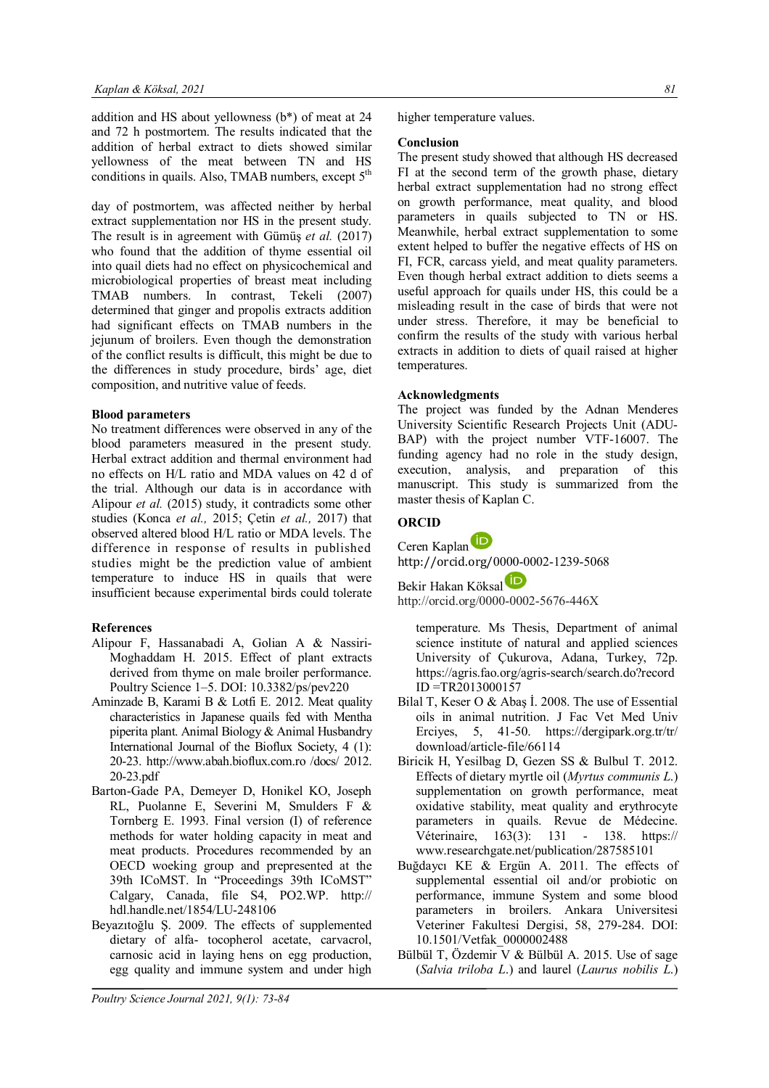addition and HS about yellowness (b\*) of meat at 24 and 72 h postmortem. The results indicated that the addition of herbal extract to diets showed similar yellowness of the meat between TN and HS conditions in quails. Also, TMAB numbers, except  $5<sup>th</sup>$ 

day of postmortem, was affected neither by herbal extract supplementation nor HS in the present study. The result is in agreement with Gümüş *et al.* (2017) who found that the addition of thyme essential oil into quail diets had no effect on physicochemical and microbiological properties of breast meat including TMAB numbers. In contrast, Tekeli (2007) determined that ginger and propolis extracts addition had significant effects on TMAB numbers in the jejunum of broilers. Even though the demonstration of the conflict results is difficult, this might be due to the differences in study procedure, birds' age, diet composition, and nutritive value of feeds.

## **Blood parameters**

No treatment differences were observed in any of the blood parameters measured in the present study. Herbal extract addition and thermal environment had no effects on H/L ratio and MDA values on 42 d of the trial. Although our data is in accordance with Alipour *et al.* (2015) study, it contradicts some other studies (Konca *et al.,* 2015; Çetin *et al.,* 2017) that observed altered blood H/L ratio or MDA levels. The difference in response of results in published studies might be the prediction value of ambient temperature to induce HS in quails that were insufficient because experimental birds could tolerate

# **References**

- Alipour F, Hassanabadi A, Golian A & Nassiri-Moghaddam H. 2015. Effect of plant extracts derived from thyme on male broiler performance. Poultry Science 1–5. DOI: 10.3382/ps/pev220
- Aminzade B, Karami B & Lotfi E. 2012. Meat quality characteristics in Japanese quails fed with Mentha piperita plant. Animal Biology & Animal Husbandry International Journal of the Bioflux Society, 4 (1): 20-23. http://www.abah.bioflux.com.ro /docs/ 2012. 20-23.pdf
- Barton-Gade PA, Demeyer D, Honikel KO, Joseph RL, Puolanne E, Severini M, Smulders F & Tornberg E. 1993. Final version (I) of reference methods for water holding capacity in meat and meat products. Procedures recommended by an OECD woeking group and prepresented at the 39th ICoMST. In "Proceedings 39th ICoMST" Calgary, Canada, file S4, PO2.WP. http:// hdl.handle.net/1854/LU-248106
- Beyazıtoğlu Ş. 2009. The effects of supplemented dietary of alfa- tocopherol acetate, carvacrol, carnosic acid in laying hens on egg production, egg quality and immune system and under high

higher temperature values.

#### **Conclusion**

The present study showed that although HS decreased FI at the second term of the growth phase, dietary herbal extract supplementation had no strong effect on growth performance, meat quality, and blood parameters in quails subjected to TN or HS. Meanwhile, herbal extract supplementation to some extent helped to buffer the negative effects of HS on FI, FCR, carcass yield, and meat quality parameters. Even though herbal extract addition to diets seems a useful approach for quails under HS, this could be a misleading result in the case of birds that were not under stress. Therefore, it may be beneficial to confirm the results of the study with various herbal extracts in addition to diets of quail raised at higher temperatures.

## **Acknowledgments**

The project was funded by the Adnan Menderes University Scientific Research Projects Unit (ADU-BAP) with the project number VTF-16007. The funding agency had no role in the study design, execution, analysis, and preparation of this manuscript. This study is summarized from the master thesis of Kaplan C.

# **ORCID**

Ceren Kaplan http://orcid.org/0000-0002-1239-5068

Bekir Hakan Köksal

http://orcid.org/0000-0002-5676-446X

temperature. Ms Thesis, Department of animal science institute of natural and applied sciences University of Çukurova, Adana, Turkey, 72p. https://agris.fao.org/agris-search/search.do?record ID =TR2013000157

- Bilal T, Keser O & Abaş İ. 2008. The use of Essential oils in animal nutrition. J Fac Vet Med Univ Erciyes, 5, 41-50. https://dergipark.org.tr/tr/ download/article-file/66114
- Biricik H, Yesilbag D, Gezen SS & Bulbul T. 2012. Effects of dietary myrtle oil (*Myrtus communis L*.) supplementation on growth performance, meat oxidative stability, meat quality and erythrocyte parameters in quails. Revue de Médecine. Véterinaire, 163(3): 131 - 138. https:// www.researchgate.net/publication/287585101
- Buğdaycı KE & Ergün A. 2011. The effects of supplemental essential oil and/or probiotic on performance, immune System and some blood parameters in broilers. Ankara Universitesi Veteriner Fakultesi Dergisi, 58, 279-284. DOI: 10.1501/Vetfak\_0000002488
- Bülbül T, Özdemir V & Bülbül A. 2015. Use of sage (*Salvia triloba L*.) and laurel (*Laurus nobilis L*.)

*Poultry Science Journal 2021, 9(1): 73-84*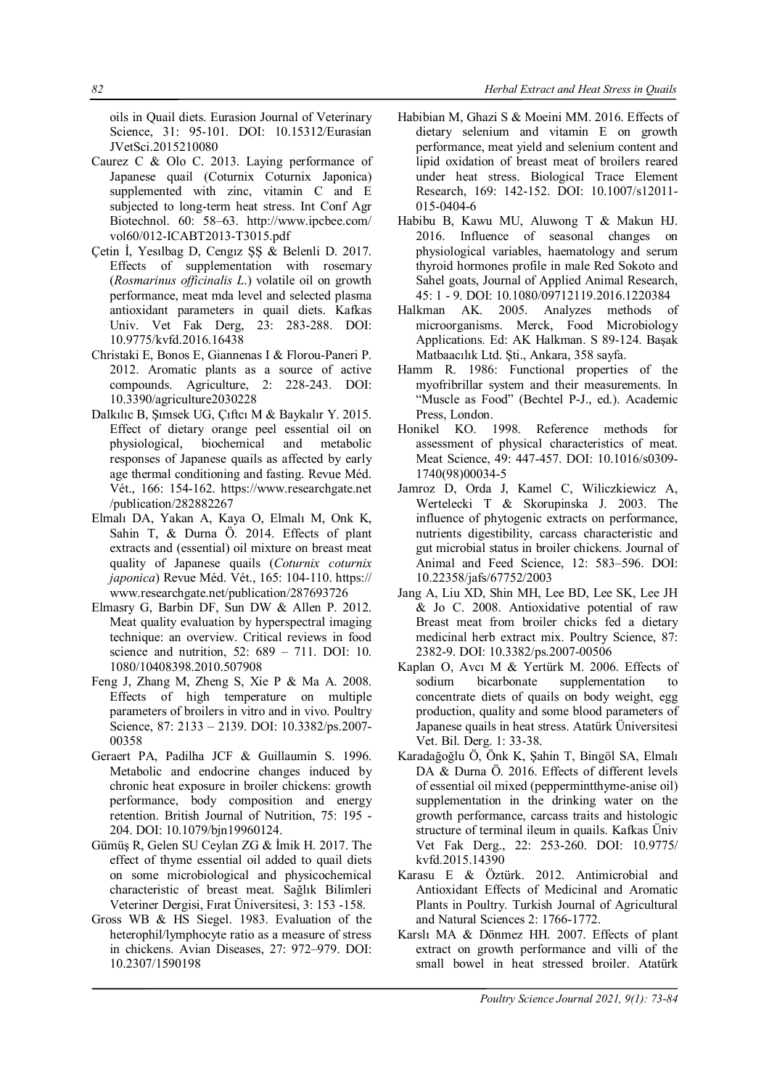oils in Quail diets. Eurasion Journal of Veterinary Science, 31: 95-101. DOI: 10.15312/Eurasian JVetSci.2015210080

- Caurez C & Olo C. 2013. Laying performance of Japanese quail (Coturnix Coturnix Japonica) supplemented with zinc, vitamin C and E subjected to long-term heat stress. Int Conf Agr Biotechnol. 60: 58–63. http://www.ipcbee.com/ vol60/012-ICABT2013-T3015.pdf
- Çetin İ, Yesılbag D, Cengız ŞŞ & Belenli D. 2017. Effects of supplementation with rosemary (*Rosmarinus officinalis L*.) volatile oil on growth performance, meat mda level and selected plasma antioxidant parameters in quail diets. Kafkas Univ. Vet Fak Derg, 23: 283-288. DOI: 10.9775/kvfd.2016.16438
- Christaki E, Bonos E, Giannenas I & Florou-Paneri P. 2012. Aromatic plants as a source of active compounds. Agriculture, 2: 228-243. DOI: 10.3390/agriculture2030228
- Dalkılıc B, Şımsek UG, Çıftcı M & Baykalır Y. 2015. Effect of dietary orange peel essential oil on physiological, biochemical and metabolic responses of Japanese quails as affected by early age thermal conditioning and fasting. Revue Méd. Vét., 166: 154-162. https://www.researchgate.net /publication/282882267
- Elmalı DA, Yakan A, Kaya O, Elmalı M, Onk K, Sahin T, & Durna Ö. 2014. Effects of plant extracts and (essential) oil mixture on breast meat quality of Japanese quails (*Coturnix coturnix japonica*) Revue Méd. Vét., 165: 104-110. https:// www.researchgate.net/publication/287693726
- Elmasry G, Barbin DF, Sun DW & Allen P. 2012. Meat quality evaluation by hyperspectral imaging technique: an overview. Critical reviews in food science and nutrition, 52: 689 – 711. DOI: 10. 1080/10408398.2010.507908
- Feng J, Zhang M, Zheng S, Xie P & Ma A. 2008. Effects of high temperature on multiple parameters of broilers in vitro and in vivo. Poultry Science, 87: 2133 – 2139. DOI: 10.3382/ps.2007- 00358
- Geraert PA, Padilha JCF & Guillaumin S. 1996. Metabolic and endocrine changes induced by chronic heat exposure in broiler chickens: growth performance, body composition and energy retention. British Journal of Nutrition, 75: 195 - 204. DOI: 10.1079/bjn19960124.
- Gümüş R, Gelen SU Ceylan ZG & İmik H. 2017. The effect of thyme essential oil added to quail diets on some microbiological and physicochemical characteristic of breast meat. Sağlık Bilimleri Veteriner Dergisi, Fırat Üniversitesi, 3: 153 -158.
- Gross WB & HS Siegel. 1983. Evaluation of the heterophil/lymphocyte ratio as a measure of stress in chickens. Avian Diseases, 27: 972–979. DOI: 10.2307/1590198
- Habibian M, Ghazi S & Moeini MM. 2016. Effects of dietary selenium and vitamin E on growth performance, meat yield and selenium content and lipid oxidation of breast meat of broilers reared under heat stress. Biological Trace Element Research, 169: 142-152. DOI: 10.1007/s12011- 015-0404-6
- Habibu B, Kawu MU, Aluwong T & Makun HJ. 2016. Influence of seasonal changes on physiological variables, haematology and serum thyroid hormones profile in male Red Sokoto and Sahel goats, Journal of Applied Animal Research, 45: 1 - 9. DOI: 10.1080/09712119.2016.1220384
- Halkman AK. 2005. Analyzes methods of microorganisms. Merck, Food Microbiology Applications. Ed: AK Halkman. S 89-124. Başak Matbaacılık Ltd. Şti., Ankara, 358 sayfa.
- Hamm R. 1986: Functional properties of the myofribrillar system and their measurements. In "Muscle as Food" (Bechtel P-J., ed.). Academic Press, London.
- Honikel KO. 1998. Reference methods for assessment of physical characteristics of meat. Meat Science, 49: 447-457. DOI: 10.1016/s0309- 1740(98)00034-5
- Jamroz D, Orda J, Kamel C, Wiliczkiewicz A, Wertelecki T & Skorupinska J. 2003. The influence of phytogenic extracts on performance, nutrients digestibility, carcass characteristic and gut microbial status in broiler chickens. Journal of Animal and Feed Science, 12: 583–596. DOI: 10.22358/jafs/67752/2003
- Jang A, Liu XD, Shin MH, Lee BD, Lee SK, Lee JH & Jo C. 2008. Antioxidative potential of raw Breast meat from broiler chicks fed a dietary medicinal herb extract mix. Poultry Science, 87: 2382-9. DOI: 10.3382/ps.2007-00506
- Kaplan O, Avcı M & Yertürk M. 2006. Effects of sodium bicarbonate supplementation to concentrate diets of quails on body weight, egg production, quality and some blood parameters of Japanese quails in heat stress. Atatürk Üniversitesi Vet. Bil. Derg. 1: 33-38.
- Karadağoğlu Ö, Önk K, Şahin T, Bingöl SA, Elmalı DA & Durna Ö. 2016. Effects of different levels of essential oil mixed (peppermintthyme-anise oil) supplementation in the drinking water on the growth performance, carcass traits and histologic structure of terminal ileum in quails. Kafkas Üniv Vet Fak Derg., 22: 253-260. DOI: 10.9775/ kvfd.2015.14390
- Karasu E & Öztürk. 2012. Antimicrobial and Antioxidant Effects of Medicinal and Aromatic Plants in Poultry. Turkish Journal of Agricultural and Natural Sciences 2: 1766-1772.
- Karslı MA & Dönmez HH. 2007. Effects of plant extract on growth performance and villi of the small bowel in heat stressed broiler. Atatürk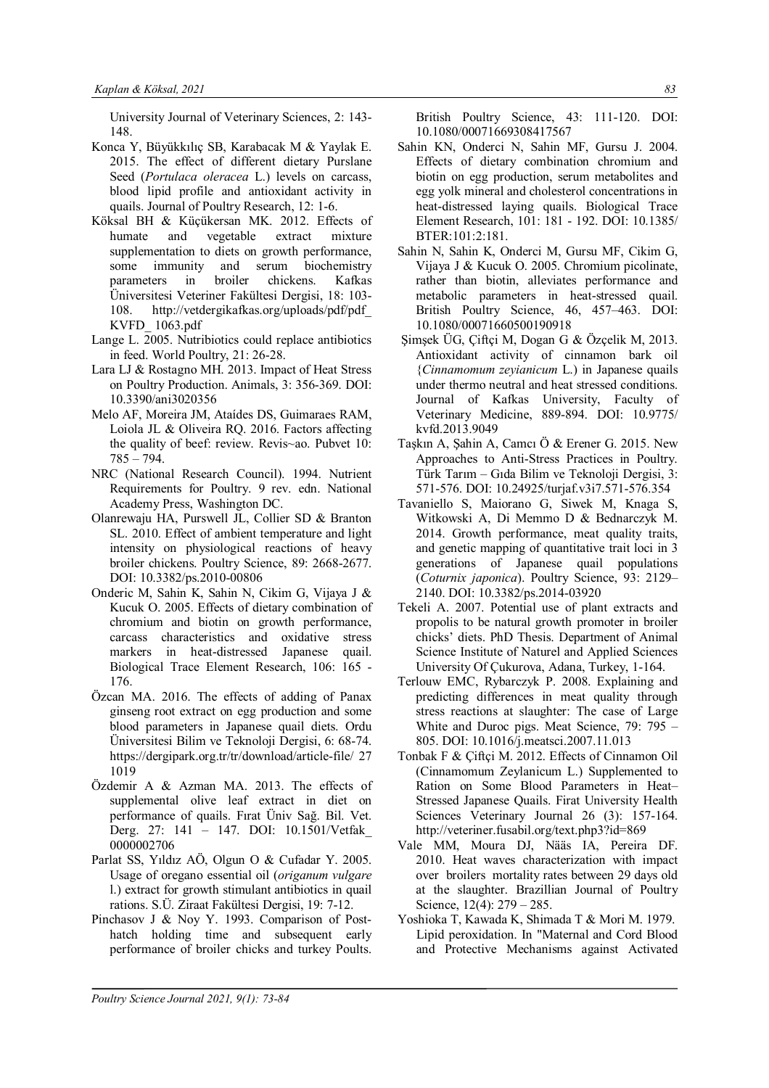University Journal of Veterinary Sciences, 2: 143- 148.

- Konca Y, Büyükkılıç SB, Karabacak M & Yaylak E. 2015. The effect of different dietary Purslane Seed (*Portulaca oleracea* L.) levels on carcass, blood lipid profile and antioxidant activity in quails. Journal of Poultry Research, 12: 1-6.
- Köksal BH & Küçükersan MK. 2012. Effects of humate and vegetable extract mixture supplementation to diets on growth performance, some immunity and serum biochemistry parameters in broiler chickens. Kafkas Üniversitesi Veteriner Fakültesi Dergisi, 18: 103- 108. http://vetdergikafkas.org/uploads/pdf/pdf\_ KVFD\_ 1063.pdf
- Lange L. 2005. Nutribiotics could replace antibiotics in feed. World Poultry, 21: 26-28.
- Lara LJ & Rostagno MH. 2013. Impact of Heat Stress on Poultry Production. Animals, 3: 356-369. DOI: 10.3390/ani3020356
- Melo AF, Moreira JM, Ataídes DS, Guimaraes RAM, Loiola JL & Oliveira RQ. 2016. Factors affecting the quality of beef: review. Revis~ao. Pubvet 10: 785 – 794.
- NRC (National Research Council). 1994. Nutrient Requirements for Poultry. 9 rev. edn. National Academy Press, Washington DC.
- Olanrewaju HA, Purswell JL, Collier SD & Branton SL. 2010. Effect of ambient temperature and light intensity on physiological reactions of heavy broiler chickens. Poultry Science, 89: 2668-2677. DOI: 10.3382/ps.2010-00806
- Onderic M, Sahin K, Sahin N, Cikim G, Vijaya J & Kucuk O. 2005. Effects of dietary combination of chromium and biotin on growth performance, carcass characteristics and oxidative stress markers in heat-distressed Japanese quail. Biological Trace Element Research, 106: 165 - 176.
- Özcan MA. 2016. The effects of adding of Panax ginseng root extract on egg production and some blood parameters in Japanese quail diets. Ordu Üniversitesi Bilim ve Teknoloji Dergisi, 6: 68-74. https://dergipark.org.tr/tr/download/article-file/ 27 1019
- Özdemir A & Azman MA. 2013. The effects of supplemental olive leaf extract in diet on performance of quails. Fırat Üniv Sağ. Bil. Vet. Derg. 27: 141 – 147. DOI: 10.1501/Vetfak\_ 0000002706
- Parlat SS, Yıldız AÖ, Olgun O & Cufadar Y. 2005. Usage of oregano essential oil (*origanum vulgare* l.) extract for growth stimulant antibiotics in quail rations. S.Ü. Ziraat Fakültesi Dergisi, 19: 7-12.
- Pinchasov J & Noy Y. 1993. Comparison of Posthatch holding time and subsequent early performance of broiler chicks and turkey Poults.

British Poultry Science, 43: 111-120. DOI: 10.1080/00071669308417567

- Sahin KN, Onderci N, Sahin MF, Gursu J. 2004. Effects of dietary combination chromium and biotin on egg production, serum metabolites and egg yolk mineral and cholesterol concentrations in heat-distressed laying quails. Biological Trace Element Research, 101: 181 - 192. DOI: 10.1385/ BTER:101:2:181.
- Sahin N, Sahin K, Onderci M, Gursu MF, Cikim G, Vijaya J & Kucuk O. 2005. Chromium picolinate, rather than biotin, alleviates performance and metabolic parameters in heat-stressed quail. British Poultry Science, 46, 457–463. DOI: 10.1080/00071660500190918
- Şimşek ÜG, Çiftçi M, Dogan G & Özçelik M, 2013. Antioxidant activity of cinnamon bark oil {*Cinnamomum zeyianicum* L.) in Japanese quails under thermo neutral and heat stressed conditions. Journal of Kafkas University, Faculty of Veterinary Medicine, 889-894. DOI: 10.9775/ kvfd.2013.9049
- Taşkın A, Şahin A, Camcı Ö & Erener G. 2015. New Approaches to Anti-Stress Practices in Poultry. Türk Tarım – Gıda Bilim ve Teknoloji Dergisi, 3: 571-576. DOI: 10.24925/turjaf.v3i7.571-576.354
- Tavaniello S, Maiorano G, Siwek M, Knaga S, Witkowski A, Di Memmo D & Bednarczyk M. 2014. Growth performance, meat quality traits, and genetic mapping of quantitative trait loci in 3 generations of Japanese quail populations (*Coturnix japonica*). Poultry Science, 93: 2129– 2140. DOI: 10.3382/ps.2014-03920
- Tekeli A. 2007. Potential use of plant extracts and propolis to be natural growth promoter in broiler chicks' diets. PhD Thesis. Department of Animal Science Institute of Naturel and Applied Sciences University Of Çukurova, Adana, Turkey, 1-164.
- Terlouw EMC, Rybarczyk P. 2008. Explaining and predicting differences in meat quality through stress reactions at slaughter: The case of Large White and Duroc pigs. Meat Science, 79: 795 – 805. DOI: 10.1016/j.meatsci.2007.11.013
- Tonbak F & Çiftçi M. 2012. Effects of Cinnamon Oil (Cinnamomum Zeylanicum L.) Supplemented to Ration on Some Blood Parameters in Heat– Stressed Japanese Quails. Firat University Health Sciences Veterinary Journal 26 (3): 157-164. http://veteriner.fusabil.org/text.php3?id=869
- Vale MM, Moura DJ, Nääs IA, Pereira DF. 2010. Heat waves characterization with impact over broilers mortality rates between 29 days old at the slaughter. Brazillian Journal of Poultry Science, 12(4): 279 – 285.
- Yoshioka T, Kawada K, Shimada T & Mori M. 1979. Lipid peroxidation. In "Maternal and Cord Blood and Protective Mechanisms against Activated